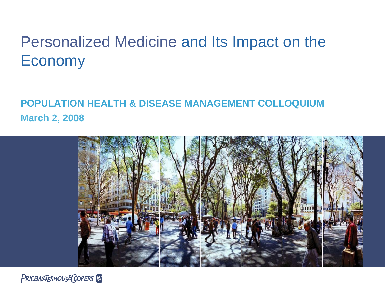# Personalized Medicine and Its Impact on the Economy

### **POPULATION HEALTH & DISEASE MANAGEMENT COLLOQUIUM March 2, 2008**



**PRICEWATERHOUSE COPERS**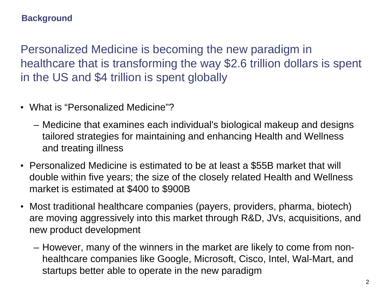#### **Background**

Personalized Medicine is becoming the new paradigm in healthcare that is transforming the way \$2.6 trillion dollars is spent in the US and \$4 trillion is spent globally

- What is "Personalized Medicine"?
	- Medicine that examines each individual's biological makeup and designs tailored strategies for maintaining and enhancing Health and Wellness and treating illness
- Personalized Medicine is estimated to be at least a \$55B market that will double within five years; the size of the closely related Health and Wellness market is estimated at \$400 to \$900B
- Most traditional healthcare companies (payers, providers, pharma, biotech) are moving aggressively into this market through R&D, JVs, acquisitions, and new product development
	- However, many of the winners in the market are likely to come from nonhealthcare companies like Google, Microsoft, Cisco, Intel, Wal-Mart, and startups better able to operate in the new paradigm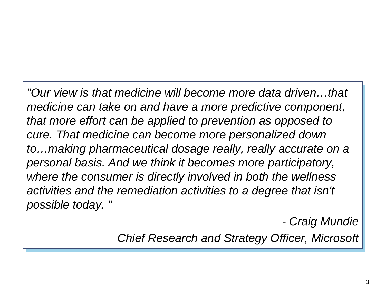*"Our view is that medicine will become more data driven…that "Our view is that medicine will become more data driven…that medicine can take on and have a more predictive component, medicine can take on and have a more predictive component, that more effort can be applied to prevention as opposed to that more effort can be applied to prevention as opposed to cure. That medicine can become more personalized down cure. That medicine can become more personalized down to…making pharmaceutical dosage really, really accurate on a to…making pharmaceutical dosage really, really accurate on a personal basis. And we think it becomes more participatory, personal basis. And we think it becomes more participatory, where the consumer is directly involved in both the wellness where the consumer is directly involved in both the wellness activities and the remediation activities to a degree that isn't activities and the remediation activities to a degree that isn't possible today. " possible today. "* 

*- Craig Mundie - Craig Mundie*

*Chief Research and Strategy Officer, Microsoft Chief Research and Strategy Officer, Microsoft*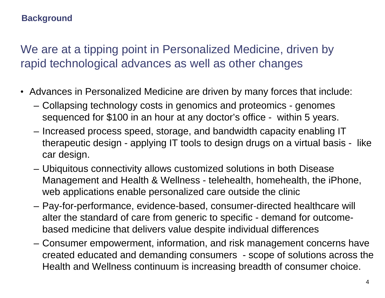#### **Background**

We are at a tipping point in Personalized Medicine, driven by rapid technological advances as well as other changes

- Advances in Personalized Medicine are driven by many forces that include:
	- Collapsing technology costs in genomics and proteomics genomes sequenced for \$100 in an hour at any doctor's office - within 5 years.
	- Increased process speed, storage, and bandwidth capacity enabling IT therapeutic design - applying IT tools to design drugs on a virtual basis - like car design.
	- Ubiquitous connectivity allows customized solutions in both Disease Management and Health & Wellness - telehealth, homehealth, the iPhone, web applications enable personalized care outside the clinic
	- Pay-for-performance, evidence-based, consumer-directed healthcare will alter the standard of care from generic to specific - demand for outcomebased medicine that delivers value despite individual differences
	- Consumer empowerment, information, and risk management concerns have created educated and demanding consumers - scope of solutions across the Health and Wellness continuum is increasing breadth of consumer choice.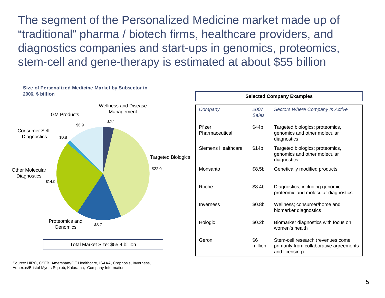The segment of the Personalized Medicine market made up of "traditional" pharma / biotech firms, healthcare providers, and diagnostics companies and start-ups in genomics, proteomics, stem-cell and gene-therapy is estimated at about \$55 billion



Source: HIRC, CSFB, Amersham/GE Healthcare, ISAAA, Cropnosis, Inverness, Adnexus/Bristol-Myers Squibb, Kalorama, Company Information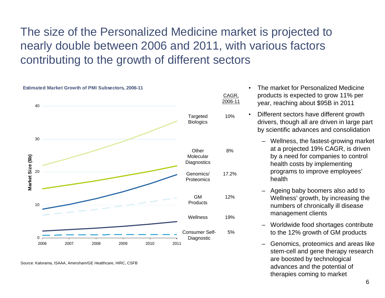## The size of the Personalized Medicine market is projected to nearly double between 2006 and 2011, with various factors contributing to the growth of different sectors



Source: Kalorama, ISAAA, Amersham/GE Healthcare, HIRC, CSFB

- The market for Personalized Medicine products is expected to grow 11% per year, reaching about \$95B in 2011
- Different sectors have different growth drivers, though all are driven in large part by scientific advances and consolidation
	- Wellness, the fastest-growing market at a projected 19% CAGR, is driven by a need for companies to control health costs by implementing programs to improve employees' health
	- Ageing baby boomers also add to Wellness' growth, by increasing the numbers of chronically ill disease management clients
	- Worldwide food shortages contribute to the 12% growth of GM products
	- Genomics, proteomics and areas like stem-cell and gene therapy research are boosted by technological advances and the potential of therapies coming to market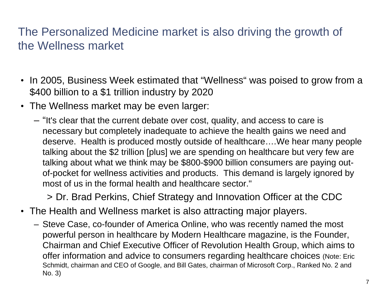### The Personalized Medicine market is also driving the growth of the Wellness market

- In 2005, Business Week estimated that "Wellness" was poised to grow from a \$400 billion to a \$1 trillion industry by 2020
- The Wellness market may be even larger:
	- "It's clear that the current debate over cost, quality, and access to care is necessary but completely inadequate to achieve the health gains we need and deserve. Health is produced mostly outside of healthcare….We hear many people talking about the \$2 trillion [plus] we are spending on healthcare but very few are talking about what we think may be \$800-\$900 billion consumers are paying outof-pocket for wellness activities and products. This demand is largely ignored by most of us in the formal health and healthcare sector."

> Dr. Brad Perkins, Chief Strategy and Innovation Officer at the CDC

- The Health and Wellness market is also attracting major players.
	- Steve Case, co-founder of America Online, who was recently named the most powerful person in healthcare by Modern Healthcare magazine, is the Founder, Chairman and Chief Executive Officer of Revolution Health Group, which aims to offer information and advice to consumers regarding healthcare choices (Note: Eric Schmidt, chairman and CEO of Google, and Bill Gates, chairman of Microsoft Corp., Ranked No. 2 and No. 3)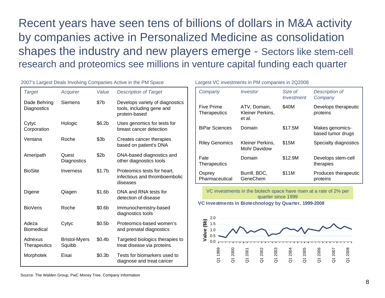Recent years have seen tens of billions of dollars in M&A activity by companies active in Personalized Medicine as consolidation shapes the industry and new players emerge - Sectors like stem-cell research and proteomics see millions in venture capital funding each quarter

| <b>Target</b>                  | Acquirer                       | Value              | <b>Description of Target</b>                                                  |
|--------------------------------|--------------------------------|--------------------|-------------------------------------------------------------------------------|
| Dade Behring<br>Diagnostics    | <b>Siemens</b>                 | \$7b               | Develops variety of diagnostics<br>tools, including gene and<br>protein-based |
| Cytyc<br>Corporation           | Hologic                        | \$6.2b             | Uses genomics for tests for<br>breast cancer detection                        |
| Ventana                        | Roche                          | \$3 <sub>b</sub>   | Creates cancer therapies<br>based on patient's DNA                            |
| Ameripath                      | Quest<br>Diagnostics           | \$2 <sub>b</sub>   | DNA-based diagnostics and<br>other diagnostics tools                          |
| <b>BioSite</b>                 | Inverness                      | \$1.7 <sub>b</sub> | Proteomics tests for heart,<br>infectious and thromboembolic<br>diseases      |
| Digene                         | Qiagen                         | \$1.6b             | DNA and RNA tests for<br>detection of disease                                 |
| <b>BioVeris</b>                | Roche                          | \$0.6 <sub>b</sub> | Immunochemistry-based<br>diagnostics tools                                    |
| Adeza<br><b>Biomedical</b>     | Cytyc                          | \$0.5 <sub>b</sub> | Proteomics-based women's<br>and prenatal diagnostics                          |
| Adnexus<br><b>Therapeutics</b> | <b>Bristol-Myers</b><br>Squibb | \$0.4 <sub>b</sub> | Targeted biologics therapies to<br>treat disease via proteins                 |
| Morphotek                      | Eisai                          | \$0.3 <sub>b</sub> | Tests for biomarkers used to<br>diagnose and treat cancer                     |

2007's Largest Deals Involving Companies Active in the PM Space

| Largest VC investments in PM companies in 2Q2008 |  |  |  |  |
|--------------------------------------------------|--|--|--|--|
|--------------------------------------------------|--|--|--|--|

| Company                           | Investor                                   | Size of<br>Investment | Description of<br>Company            |
|-----------------------------------|--------------------------------------------|-----------------------|--------------------------------------|
| Five Prime<br><b>Therapeutics</b> | ATV, Domain,<br>Kleiner Perkins,<br>et al. | \$40M                 | Develops therapeutic<br>proteins     |
| <b>BiPar Sciences</b>             | Domain                                     | \$17.5M               | Makes genomics-<br>based tumor drugs |
| <b>Riley Genomics</b>             | Kleiner Perkins,<br>Mohr Davidow           | \$15M                 | Specialty diagnostics                |
| Fate<br>Therapeutics              | Domain                                     | \$12.9M               | Develops stem-cell<br>therapies      |
| Osprey<br>Pharmaceutical          | Burrill, BDC,<br>GeneChem                  | \$11M                 | Produces therapeutic<br>proteins     |

VC investments in the biotech space have risen at a rate of 2% per quarter since 1999

**VC Investments in Biotechnology by Quarter, 1999-2008**



Source: The Walden Group, PwC Money Tree, Company Information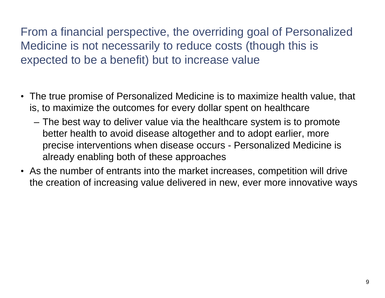From a financial perspective, the overriding goal of Personalized Medicine is not necessarily to reduce costs (though this is expected to be a benefit) but to increase value

- The true promise of Personalized Medicine is to maximize health value, that is, to maximize the outcomes for every dollar spent on healthcare
	- The best way to deliver value via the healthcare system is to promote better health to avoid disease altogether and to adopt earlier, more precise interventions when disease occurs - Personalized Medicine is already enabling both of these approaches
- As the number of entrants into the market increases, competition will drive the creation of increasing value delivered in new, ever more innovative ways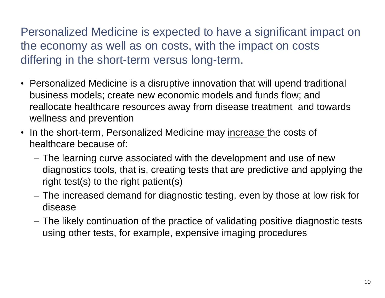Personalized Medicine is expected to have a significant impact on the economy as well as on costs, with the impact on costs differing in the short-term versus long-term.

- Personalized Medicine is a disruptive innovation that will upend traditional business models; create new economic models and funds flow; and reallocate healthcare resources away from disease treatment and towards wellness and prevention
- In the short-term, Personalized Medicine may increase the costs of healthcare because of:
	- The learning curve associated with the development and use of new diagnostics tools, that is, creating tests that are predictive and applying the right test(s) to the right patient(s)
	- The increased demand for diagnostic testing, even by those at low risk for disease
	- The likely continuation of the practice of validating positive diagnostic tests using other tests, for example, expensive imaging procedures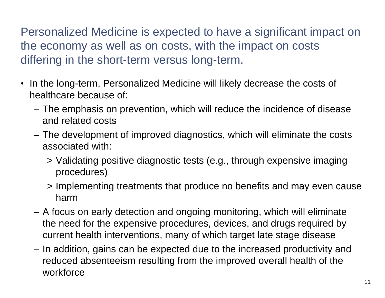Personalized Medicine is expected to have a significant impact on the economy as well as on costs, with the impact on costs differing in the short-term versus long-term.

- In the long-term, Personalized Medicine will likely decrease the costs of healthcare because of:
	- The emphasis on prevention, which will reduce the incidence of disease and related costs
	- The development of improved diagnostics, which will eliminate the costs associated with:
		- > Validating positive diagnostic tests (e.g., through expensive imaging procedures)
		- > Implementing treatments that produce no benefits and may even cause harm
	- A focus on early detection and ongoing monitoring, which will eliminate the need for the expensive procedures, devices, and drugs required by current health interventions, many of which target late stage disease
	- In addition, gains can be expected due to the increased productivity and reduced absenteeism resulting from the improved overall health of the workforce